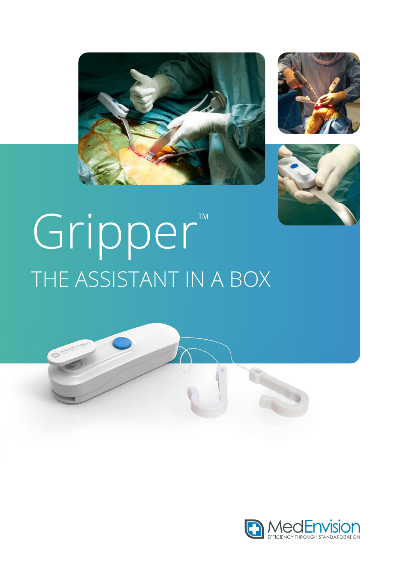





# Gripper™ THE ASSISTANT IN A BOX



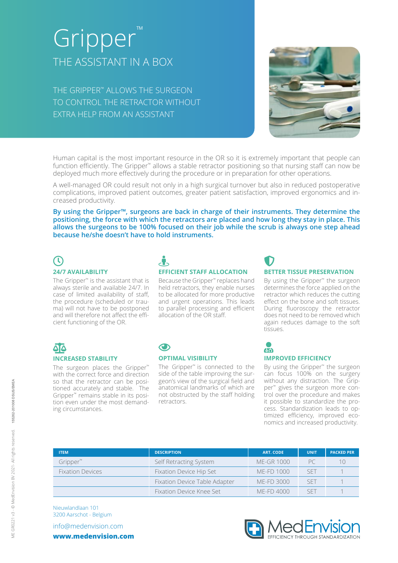# Gripper THE ASSISTANT IN A BOX

THE GRIPPER™ ALLOWS THE SURGEON TO CONTROL THE RETRACTOR WITHOUT EXTRA HELP FROM AN ASSISTANT



Human capital is the most important resource in the OR so it is extremely important that people can function efficiently. The Gripper<sup>™</sup> allows a stable retractor positioning so that nursing staff can now be deployed much more effectively during the procedure or in preparation for other operations.

A well-managed OR could result not only in a high surgical turnover but also in reduced postoperative complications, improved patient outcomes, greater patient satisfaction, improved ergonomics and increased productivity.

**By using the Gripper™, surgeons are back in charge of their instruments. They determine the positioning, the force with which the retractors are placed and how long they stay in place. This allows the surgeons to be 100% focused on their job while the scrub is always one step ahead because he/she doesn't have to hold instruments.**

# $\mathcal{C}$

### **24/7 AVAILABILITY**

The Gripper™ is the assistant that is always sterile and available 24/7. In case of limited availability of staff, the procedure (scheduled or trauma) will not have to be postponed and will therefore not affect the efficient functioning of the OR.

## STREET-VIEW **EFFICIENT STAFF ALLOCATION**

Because the Gripper™ replaces hand held retractors, they enable nurses to be allocated for more productive and urgent operations. This leads to parallel processing and efficient allocation of the OR staff.

## $\bullet$ **BETTER TISSUE PRESERVATION**

By using the Gripper™ the surgeon determines the force applied on the retractor which reduces the cutting effect on the bone and soft tissues. During fluoroscopy the retractor does not need to be removed which again reduces damage to the soft tissues.

### 86 **INCREASED STABILITY**

The surgeon places the Gripper™ with the correct force and direction so that the retractor can be positioned accurately and stable. The Gripper™ remains stable in its position even under the most demanding circumstances.

### $\bigodot$ **OPTIMAL VISIBILITY**

retractors.

#### The Gripper™ is connected to the side of the table improving the surgeon's view of the surgical field and anatomical landmarks of which are not obstructed by the staff holding

### $U<sub>0</sub>$ **IMPROVED EFFICIENCY**

By using the Gripper™ the surgeon can focus 100% on the surgery without any distraction. The Gripper<sup>™</sup> gives the surgeon more control over the procedure and makes it possible to standardize the process. Standardization leads to optimized efficiency, improved economics and increased productivity.

| <b>ITEM</b>             | <b>DESCRIPTION</b>            | <b>ART. CODE</b>  | <b>UNIT</b> | <b>PACKED PER</b> |
|-------------------------|-------------------------------|-------------------|-------------|-------------------|
| Gripper™                | Self Retracting System        | <b>ME-GR 1000</b> |             |                   |
| <b>Fixation Devices</b> | Fixation Device Hip Set       | ME-FD 1000        | <b>SET</b>  |                   |
|                         | Fixation Device Table Adapter | ME-FD 3000        | SFT         |                   |
|                         | Fixation Device Knee Set      | ME-FD 4000        | SE I        |                   |

Nieuwlandlaan 101 3200 Aarschot - Belgium

info@medenvision.com **www.medenvision.com**

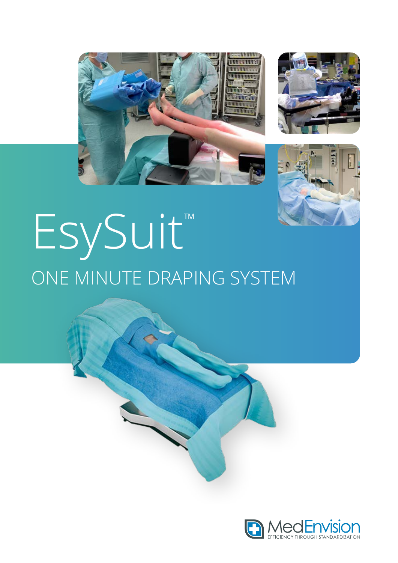





# EsySuit" ONE MINUTE DRAPING SYSTEM